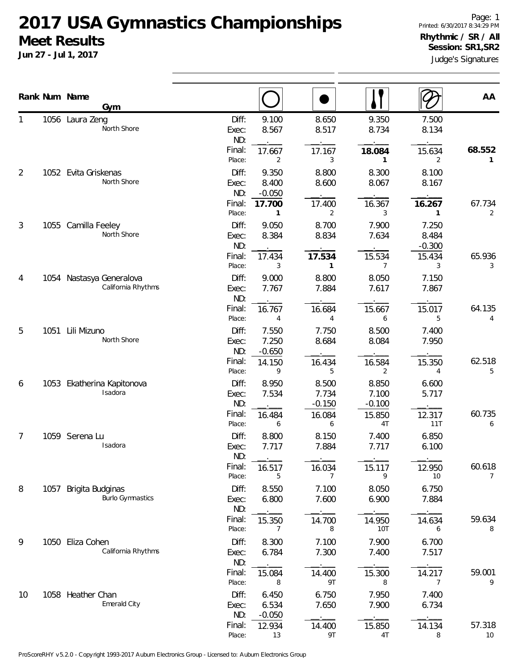## **2017 USA Gymnastics Championships Meet Results**

**Jun 27 - Jul 1, 2017**

|             |      | Rank Num Name<br>Gym                             |                                                     |                            |                            |                            | AA                       |
|-------------|------|--------------------------------------------------|-----------------------------------------------------|----------------------------|----------------------------|----------------------------|--------------------------|
| 1           |      | 1056 Laura Zeng<br>North Shore                   | Diff:<br>9.100<br>8.567<br>Exec:<br>ND:             | 8.650<br>8.517             | 9.350<br>8.734             | 7.500<br>8.134             |                          |
|             |      |                                                  | Final:<br>17.667<br>Place:<br>2                     | 17.167<br>3                | 18.084<br>1                | 15.634<br>2                | 68.552<br>$\mathbf{1}$   |
| 2           |      | 1052 Evita Griskenas<br>North Shore              | Diff:<br>9.350<br>8.400<br>Exec:<br>ND:<br>$-0.050$ | 8.800<br>8.600             | 8.300<br>8.067             | 8.100<br>8.167             |                          |
|             |      |                                                  | Final:<br>17.700<br>Place:<br>$\mathbf{1}$          | 17.400<br>2                | 16.367<br>3                | 16.267<br>1                | 67.734<br>2              |
| 3           |      | 1055 Camilla Feeley<br>North Shore               | Diff:<br>9.050<br>8.384<br>Exec:<br>ND:             | 8.700<br>8.834             | 7.900<br>7.634             | 7.250<br>8.484<br>$-0.300$ |                          |
|             |      |                                                  | Final:<br>17.434<br>Place:<br>3                     | 17.534<br>$\mathbf{1}$     | 15.534<br>7                | 15.434<br>3                | 65.936<br>3              |
| 4<br>5<br>6 | 1054 | Nastasya Generalova<br>California Rhythms        | Diff:<br>9.000<br>Exec:<br>7.767<br>ND:             | 8.800<br>7.884             | 8.050<br>7.617             | 7.150<br>7.867             |                          |
|             |      |                                                  | Final:<br>16.767<br>Place:<br>4                     | 16.684<br>4                | 15.667<br>6                | 15.017<br>5                | 64.135<br>4              |
|             |      | 1051 Lili Mizuno<br>North Shore                  | Diff:<br>7.550<br>7.250<br>Exec:<br>ND:<br>$-0.650$ | 7.750<br>8.684             | 8.500<br>8.084             | 7.400<br>7.950             |                          |
|             |      |                                                  | Final:<br>14.150<br>Place:<br>9                     | 16.434<br>5                | 16.584<br>2                | 15.350<br>4                | 62.518<br>5              |
|             |      | 1053 Ekatherina Kapitonova<br>Isadora            | Diff:<br>8.950<br>7.534<br>Exec:<br>ND:             | 8.500<br>7.734<br>$-0.150$ | 8.850<br>7.100<br>$-0.100$ | 6.600<br>5.717             |                          |
|             |      |                                                  | Final:<br>16.484<br>Place:<br>6                     | 16.084<br>6                | 15.850<br>4T               | 12.317<br>11T              | 60.735<br>6              |
| 7           |      | 1059 Serena Lu<br>Isadora                        | Diff:<br>8.800<br>7.717<br>Exec:<br>ND:             | 8.150<br>7.884             | 7.400<br>7.717             | 6.850<br>6.100             |                          |
|             |      |                                                  | Final:<br>16.517<br>Place:<br>5                     | 16.034<br>7                | 15.117<br>9                | 12.950<br>10               | 60.618<br>$\overline{7}$ |
| 8           |      | 1057 Brigita Budginas<br><b>Burlo Gymnastics</b> | Diff:<br>8.550<br>6.800<br>Exec:<br>ND:             | 7.100<br>7.600             | 8.050<br>6.900             | 6.750<br>7.884             |                          |
|             |      |                                                  | Final:<br>15.350<br>Place:<br>7                     | 14.700<br>8                | 14.950<br>10T              | 14.634<br>6                | 59.634<br>8              |
| 9           |      | 1050 Eliza Cohen<br>California Rhythms           | Diff:<br>8.300<br>Exec:<br>6.784<br>ND:             | 7.100<br>7.300             | 7.900<br>7.400             | 6.700<br>7.517             |                          |
|             |      |                                                  | Final:<br>15.084<br>Place:<br>8                     | 14.400<br>9T               | 15.300<br>8                | 14.217<br>7                | 59.001<br>9              |
| 10          |      | 1058 Heather Chan<br>Emerald City                | Diff:<br>6.450<br>6.534<br>Exec:<br>ND:<br>$-0.050$ | 6.750<br>7.650             | 7.950<br>7.900             | 7.400<br>6.734             |                          |
|             |      |                                                  | Final:<br>12.934<br>Place:<br>13                    | 14.400<br>9T               | 15.850<br>4T               | 14.134<br>8                | 57.318<br>10             |